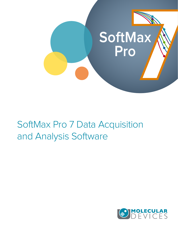

# SoftMax Pro 7 Data Acquisition and Analysis Software

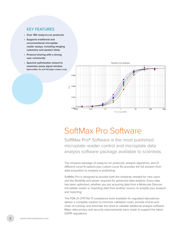### KEY FEATURES

- **Over 160 ready-to-run protocols**
- **Supports traditional and unconventional microplate reader assays, including imaging cytometry and western blots**
- **Protocol sharing with a strong user community**
- **Spectral optimization wizard to maximize assay signal window (SpectraMax i3x and Paradigm readers only)**



## SoftMax Pro Software

SoftMax Pro® Software is the most published microplate reader control and microplate data analysis software package available to scientists.

The inclusive package of ready-to-run protocols, analysis algorithms, and 21 different curve fit options plus custom curve fits provides the full solution from data acquisition to analysis to publishing.

SoftMax Pro is designed to provide both the simplicity needed for new users and the flexibility and power required for advanced data analysis. Every step has been optimized, whether you are acquiring data from a Molecular Devices microplate reader or importing data from another source, to simplify your analysis and reporting.

The FDA 21 CFR Part 11 compliance tools available for regulated laboratories deliver a complete solution to minimize validation costs, provide end-to-end chain of custody, and eliminate the need to validate additional analysis software. Major data privacy and security improvements were made to support the latest GDPR regulations.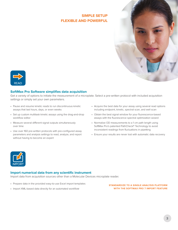## **SIMPLE SETUP FLEXIBLE AND POWERFUL**





### **SoftMax Pro Software simplifies data acquisition**

Get a variety of options to initiate the measurement of a microplate. Select a pre-written protocol with included acquisition settings or simply set your own parameters.

- Pause and resume kinetic reads to run discontinuous kinetic assays that last hours, days, or even weeks
- Set up custom multitask kinetic assays using the drag-and-drop workflow editor
- Measure several different signal outputs simultaneously over time
- Use over 160 pre-written protocols with pre-configured assay parameters and analysis settings to read, analyze, and report without having to become an expert
- Acquire the best data for your assay using several read options including endpoint, kinetic, spectral scan, and well scan
- Obtain the best signal window for your fluorescence-based assays with the fluorescence spectral optimization wizard
- Normalize OD measurements to a 1 cm path length using SoftMax Pro's patented PathCheck® Technology to avoid inconsistent readings from fluctuations in pipetting
- Ensure your results are never lost with automatic data recovery



#### **Import numerical data from any scientific instrument**

Import data from acquisition sources other than a Molecular Devices microplate reader.

- Prepare data in the provided easy-to-use Excel import templates
- **STANDARDIZE TO A SINGLE ANALYSIS PLATFORM WITH THE SOFTMAX PRO 7 IMPORT FEATURE**

• Import XML-based data directly for an automated workflow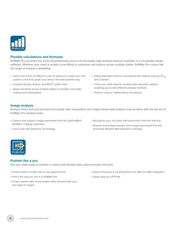

#### **Flexible calculations and formulas**

SoftMax Pro provides the most comprehensive source of microplate data analysis features available in a microplate reader software. Whether your need is simple curve fitting or extensive calculations across multiple plates, SoftMax Pro covers the full range of analysis capabilities.

- Utilize one of the 21 different curve fit options or create your own custom curve fit to graph your data in the best possible way
- Conduct Grubbs, Rosner, and ROUT outlier tests
- Apply standards across multiple plates to simplify cross-plate analysis and interpolation
- Easily automate common calculations like relative potency,  $EC_{50}$ , and Z factors
- Clone your plate data for multiple data reduction options, enabling you to test different analysis methods
- Perform custom, mathematical calculations

#### **Image analysis**

Analyze more than just standard microplate data. Acquisition and image-based data analysis may be done with the full set of SoftMax Pro analysis tools.

- Capture and analyze images generated from the SpectraMax® MiniMax™ Imaging Cytometer
- Count cells with StainFree Technology
- Recognize your cell types with supervised machine learning
- Acquire and analyze western blot images generated from the ScanLater Western Blot Detection Cartridge



#### **Publish like a pro**

Get your data ready to publish or report with flexible data output formats and tools.

- Present data in scatter, line, or bar graph format
- Print it the way you see it in SoftMax Pro
- Create reports with customizable notes sections with your own logo or images
- Export directly to a .xls (Excel) file or to XML for LIMS integration
- Easily save as a PDF file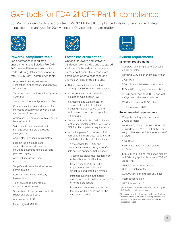## GxP tools for FDA 21 CFR Part 11 compliance

SoftMax Pro 7 GxP Software provides FDA 21 CFR Part 11 compliance tools in conjunction with data acquisition and analysis for 20+ Molecular Devices microplate readers.



### **Powerful compliance tools**

For laboratories in regulated environments, the SoftMax Pro GxP Software facilitates adherence to worldwide regulatory expectations with 21 CFR Part 11 compliance tools.

- Apply electronic signatures for verification, authorization, and approval of data files
- Track and record actions in the System Audit Trail
- Search and filter the System Audit Trail
- Control user licenses and access for increased security with powerful user management options
- Assign user permissions with a granular level of control
- Set up multiple administrators to manage separate project-based user groups
- Administer user accounts remotely
- Lockout log on failures and set additional security features including automatic idle log out and password aging
- Allow off-line usage and/or guest access
- Simplify and centralize site-license administration
- Use Windows Active Directory login option
- Track project documents in a controlled environment
- Share files with permission control in a Microsoft SQL database
- Auto export to PDF
- Export signed XML files



#### **Faster, easier validation**

Optional hardware and software validation tools are designed to speed and simplify the validation process by making it easier to demonstrate compliance of data collection and analysis. Available tools include:

- All-inclusive software validation package for SoftMax Pro GxP Software
- Instructions and worksheets for Installation Qualification (IQ)
- Instructions and worksheets for Operational Qualification (OQ) including important curve fits and routine calculations such as parallel line analysis
- Details on SoftMax Pro GxP Software features for implementation of FDA's 21 CFR Part 11 compliance requirements
- Validation plates for precise optical verification of microplate readers with detailed protocols and calculations
- On-site service for IQ-OQ and preventive maintenance by a certified field service engineer that includes:
	- A complete digital qualification report with calibration certification
	- Compliance to 21 CFR Part 11 requirements with electronic signatures and date/time stamps
	- Instant results with automated calculations built into the protocols for error-free procedure
	- Preventive maintenance to assure the best working condition for the microplate reader.



## **System requirements**

#### **Minimum requirements**

- Computer with single-core processor, 2 GHz or faster
- Windows 7, 32-bit or 64-bit (x86 or x64)
- 2 GB RAM
- 500 MB of available hard disk space
- 1024 x 768 or higher resolution display
- RS-232 serial port or USB 2.0 port with a Keyspan USB-to-serial adapter
- CD drive or external USB drive
- .NET Framework 4.6\*

#### **Recommended requirements**

- Computer with quad-core processor, 2 GHz or faster
- Windows 7, 32-bit or 64-bit (x86 or x64) or Windows 8, 32-bit or 64-bit (x86 or x64) or Windows 10, 32-bit or 64-bit (x86 or x64)
- $\cdot$  4 GB RAM\*\*
- 1 GB of available hard disk space or more
- 1280 x 1024 or higher resolution display with 32-bit graphics display and 256 MB video RAM
- USB 2.0 port with a Keyspan USB-to-serial adapter
- CD/DVD drive or external USB drive
- Internet connection
- .NET Framework 4.6\*
- \*.NET Framework 4.6 is installed automatically by the SoftMax Pro installer if necessary.
- \*\* If running on a virtual machine, Molecular Devices recommends a quad-core or faster processor with at least 6 GB RAM. For automation, 8 GB RAM is recommended.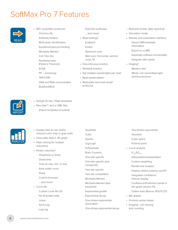## SoftMax Pro 7 Features



• 160+ prewritten protocols\* Chromo-LAL Antibody titration Multi-peak identification Equilibrium/percent binding Michaelis Menten Cell Titer-Glo Parallelism test (Fieller's Theorem) ELISA FP – anisotropy TRF/HTRF DNA and RNA concentration Bradford/BCA

Dual-Glo luciferase

- … and more!
- Read settings\*
	- Endpoint
	- Kinetic
	- Spectrum scan
	- Well scan: horizontal, vertical, cross, fill
- Discontinuous kinetics
- Multitask kinetics
- Set multiple wavelengths per read
- Read partial plates\*
- Multi-plate and multi-mode\* protocols
- Real-time kinetic data reporting\*
- Simulation mode
- Robotic and automation interface Import LIMS template information Export to a LIMS

 Automate software functionality Integrate with robots

• Imaging\* Western blot

> Whole cell: transmitted light and fluorescence



- Sample ID lists / Plate templates
	- Raw data\*\*: text or XML files (Import templates included)



- Display data as raw and/or reduced color map or gray scale
- View plate data in 3D graph
- Plate cloning for multiple reductions
- Kinetic reduction\* Vmax/time to Vmax
	- Onset time
	- Time at: max, min, ½ max
	- Area under curve
	- Slope
	- Custom formulas
	- … and more!
- Curve fits Custom curve fits (7.1) No fit (scatter plot)
	- Linear
	- Semi-Log
	- Log-Log

 Quadratic Cubic Quartic Log-Logit 5-Parameter Brain Cousens One-site specific One-site specific plus nonspecific Two-site specific Two-site competition Michaelis-Menten Michaelis-Menten (two isozymes) Exponential growth Exponential decay One-phase exponential association One-phase exponential decay

- Two-phase exponential
- Gaussian
- Cubic spline
- Point-to-point
- Curve analysis
	- $IC_{50}/EC_{50}$
	- Interpolation/extrapolation
	- Custom weighting
	- Parallel line analysis
	- Display relative potency and R2
	- Integrated confidence interval display
	- Confidence/Prediction bands in the graph section (7.1)
	- Outlier tests (Rosner, ROUT) (7.1)
- Bar graphs
- Formula syntax helper
- Imaging\*: cell viewing and counting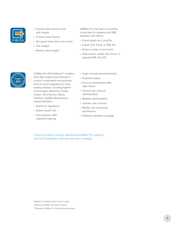

- Format notes sections and add images
- Custom report layout
- Set graph fonts and curve colors
- Cell images\*
- Western blot images\*

SoftMax Pro has been succesfully connected to Labware and LIMS Solutions and others.

- Export graph as a .png file
- Export: text, Excel, or XML file
- Export in plate or list format
- Auto-export: .sda(x), text, Excel, or (signed) XML files (7.1)



SoftMax Pro GxP Software\*\*\* enables both data analysis and instrument control in automated environments and has been integrated by many leading robotics. including Agilent Technologies, Beckman Coulter, Caliper Life Sciences, Gilson, Hamilton, HighRes Biosolutions, Hudson Robotics.

- Electronic signatures
- System Audit Trail
- File lockdown after statement signing
- Login and password protected
- Password aging
- Account deactivation after login failure
- Central user account administration
- Multiple administrators
- Transfer user licenses
- Modify user and group permissions
- Software validation package

Custom protocol writing, advanced SoftMax Pro support, and GxP installation services are also available.

\*Applies to selected plate reader models

\*\*Requires SoftMax Pro Import Feature

<sup>\*\*\*</sup>Requires SoftMax Pro GxP software package